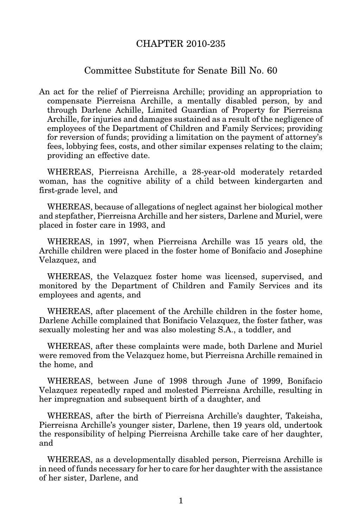## CHAPTER 2010-235

## Committee Substitute for Senate Bill No. 60

An act for the relief of Pierreisna Archille; providing an appropriation to compensate Pierreisna Archille, a mentally disabled person, by and through Darlene Achille, Limited Guardian of Property for Pierreisna Archille, for injuries and damages sustained as a result of the negligence of employees of the Department of Children and Family Services; providing for reversion of funds; providing a limitation on the payment of attorney's fees, lobbying fees, costs, and other similar expenses relating to the claim; providing an effective date.

WHEREAS, Pierreisna Archille, a 28-year-old moderately retarded woman, has the cognitive ability of a child between kindergarten and first-grade level, and

WHEREAS, because of allegations of neglect against her biological mother and stepfather, Pierreisna Archille and her sisters, Darlene and Muriel, were placed in foster care in 1993, and

WHEREAS, in 1997, when Pierreisna Archille was 15 years old, the Archille children were placed in the foster home of Bonifacio and Josephine Velazquez, and

WHEREAS, the Velazquez foster home was licensed, supervised, and monitored by the Department of Children and Family Services and its employees and agents, and

WHEREAS, after placement of the Archille children in the foster home, Darlene Achille complained that Bonifacio Velazquez, the foster father, was sexually molesting her and was also molesting S.A., a toddler, and

WHEREAS, after these complaints were made, both Darlene and Muriel were removed from the Velazquez home, but Pierreisna Archille remained in the home, and

WHEREAS, between June of 1998 through June of 1999, Bonifacio Velazquez repeatedly raped and molested Pierreisna Archille, resulting in her impregnation and subsequent birth of a daughter, and

WHEREAS, after the birth of Pierreisna Archille's daughter, Takeisha, Pierreisna Archille's younger sister, Darlene, then 19 years old, undertook the responsibility of helping Pierreisna Archille take care of her daughter, and

WHEREAS, as a developmentally disabled person, Pierreisna Archille is in need of funds necessary for her to care for her daughter with the assistance of her sister, Darlene, and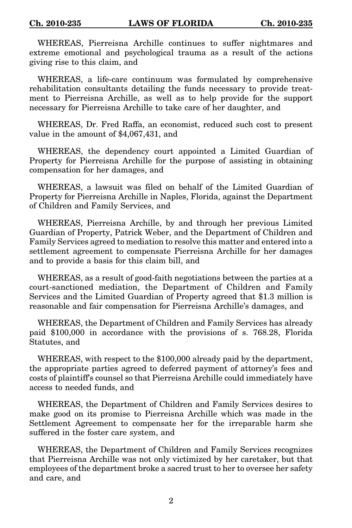WHEREAS, Pierreisna Archille continues to suffer nightmares and extreme emotional and psychological trauma as a result of the actions giving rise to this claim, and

WHEREAS, a life-care continuum was formulated by comprehensive rehabilitation consultants detailing the funds necessary to provide treatment to Pierreisna Archille, as well as to help provide for the support necessary for Pierreisna Archille to take care of her daughter, and

WHEREAS, Dr. Fred Raffa, an economist, reduced such cost to present value in the amount of \$4,067,431, and

WHEREAS, the dependency court appointed a Limited Guardian of Property for Pierreisna Archille for the purpose of assisting in obtaining compensation for her damages, and

WHEREAS, a lawsuit was filed on behalf of the Limited Guardian of Property for Pierreisna Archille in Naples, Florida, against the Department of Children and Family Services, and

WHEREAS, Pierreisna Archille, by and through her previous Limited Guardian of Property, Patrick Weber, and the Department of Children and Family Services agreed to mediation to resolve this matter and entered into a settlement agreement to compensate Pierreisna Archille for her damages and to provide a basis for this claim bill, and

WHEREAS, as a result of good-faith negotiations between the parties at a court-sanctioned mediation, the Department of Children and Family Services and the Limited Guardian of Property agreed that \$1.3 million is reasonable and fair compensation for Pierreisna Archille's damages, and

WHEREAS, the Department of Children and Family Services has already paid \$100,000 in accordance with the provisions of s. 768.28, Florida Statutes, and

WHEREAS, with respect to the \$100,000 already paid by the department, the appropriate parties agreed to deferred payment of attorney's fees and costs of plaintiff's counsel so that Pierreisna Archille could immediately have access to needed funds, and

WHEREAS, the Department of Children and Family Services desires to make good on its promise to Pierreisna Archille which was made in the Settlement Agreement to compensate her for the irreparable harm she suffered in the foster care system, and

WHEREAS, the Department of Children and Family Services recognizes that Pierreisna Archille was not only victimized by her caretaker, but that employees of the department broke a sacred trust to her to oversee her safety and care, and